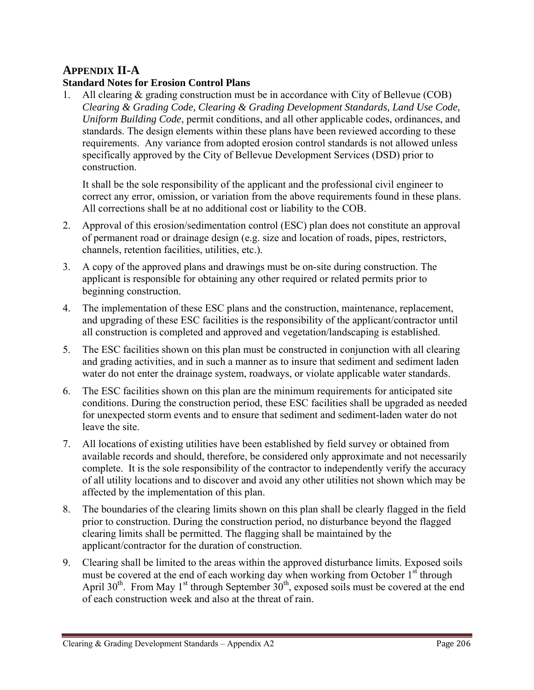## **APPENDIX II-A**

## **Standard Notes for Erosion Control Plans**

1. All clearing & grading construction must be in accordance with City of Bellevue (COB) *Clearing & Grading Code, Clearing & Grading Development Standards, Land Use Code, Uniform Building Code*, permit conditions, and all other applicable codes, ordinances, and standards. The design elements within these plans have been reviewed according to these requirements. Any variance from adopted erosion control standards is not allowed unless specifically approved by the City of Bellevue Development Services (DSD) prior to construction.

It shall be the sole responsibility of the applicant and the professional civil engineer to correct any error, omission, or variation from the above requirements found in these plans. All corrections shall be at no additional cost or liability to the COB.

- 2. Approval of this erosion/sedimentation control (ESC) plan does not constitute an approval of permanent road or drainage design (e.g. size and location of roads, pipes, restrictors, channels, retention facilities, utilities, etc.).
- 3. A copy of the approved plans and drawings must be on-site during construction. The applicant is responsible for obtaining any other required or related permits prior to beginning construction.
- 4. The implementation of these ESC plans and the construction, maintenance, replacement, and upgrading of these ESC facilities is the responsibility of the applicant/contractor until all construction is completed and approved and vegetation/landscaping is established.
- 5. The ESC facilities shown on this plan must be constructed in conjunction with all clearing and grading activities, and in such a manner as to insure that sediment and sediment laden water do not enter the drainage system, roadways, or violate applicable water standards.
- 6. The ESC facilities shown on this plan are the minimum requirements for anticipated site conditions. During the construction period, these ESC facilities shall be upgraded as needed for unexpected storm events and to ensure that sediment and sediment-laden water do not leave the site.
- 7. All locations of existing utilities have been established by field survey or obtained from available records and should, therefore, be considered only approximate and not necessarily complete. It is the sole responsibility of the contractor to independently verify the accuracy of all utility locations and to discover and avoid any other utilities not shown which may be affected by the implementation of this plan.
- 8. The boundaries of the clearing limits shown on this plan shall be clearly flagged in the field prior to construction. During the construction period, no disturbance beyond the flagged clearing limits shall be permitted. The flagging shall be maintained by the applicant/contractor for the duration of construction.
- 9. Clearing shall be limited to the areas within the approved disturbance limits. Exposed soils must be covered at the end of each working day when working from October 1<sup>st</sup> through April 30<sup>th</sup>. From May 1<sup>st</sup> through September  $30<sup>th</sup>$ , exposed soils must be covered at the end of each construction week and also at the threat of rain.